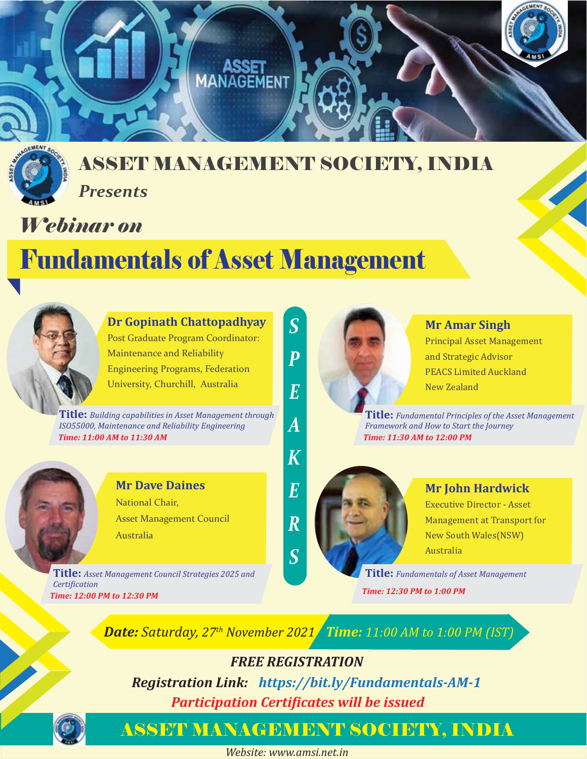

# ASSET MANAGEMENT SOCIETY, INDIA

*S*

*P*

*E*

*A*

*K*

*E*

*R*

*S*

*Presents*

*Webinar on*

# Fundamentals of Asset Management

ASSET<br>MANAGEMENT



**Dr Gopinath Chattopadhyay** 

Post Graduate Program Coordinator: Maintenance and Reliability Engineering Programs, Federation University, Churchill, Australia

**Title:** *Building capabilities in Asset Management through ISO55000, Maintenance and Reliability Engineering Time: 11:00 AM to 11:30 AM Time: 11:30 AM to 12:00 PM*



**Mr Dave Daines**  National Chair, Asset Management Council Australia

**Title:** *Asset Management Council Strategies 2025 and Certi�ication Time: 12:00 PM to 12:30 PM Time: 12:30 PM to 1:00 PM*



### **Mr Amar Singh**

Principal Asset Management and Strategic Advisor PEACS Limited Auckland New Zealand

**Title:** *Fundamental Principles of the Asset Management Framework and How to Start the Journey*



### **Mr John Hardwick**

Executive Director - Asset Management at Transport for New South Wales(NSW) Australia

**Title:** *Fundamentals of Asset Management*

*Date: Saturday, 27th November 2021 Time: 11:00 AM to 1:00 PM (IST) Time: 11:00 AM to 1:00 PM (IST)*

*Registration Link: https://bit.ly/Fundamentals-AM-1 FREE REGISTRATION Participation Certi�icates will be issued*



# ASSET MANAGEMENT SOCIETY, INDIA

*Website: www.amsi.net.in*